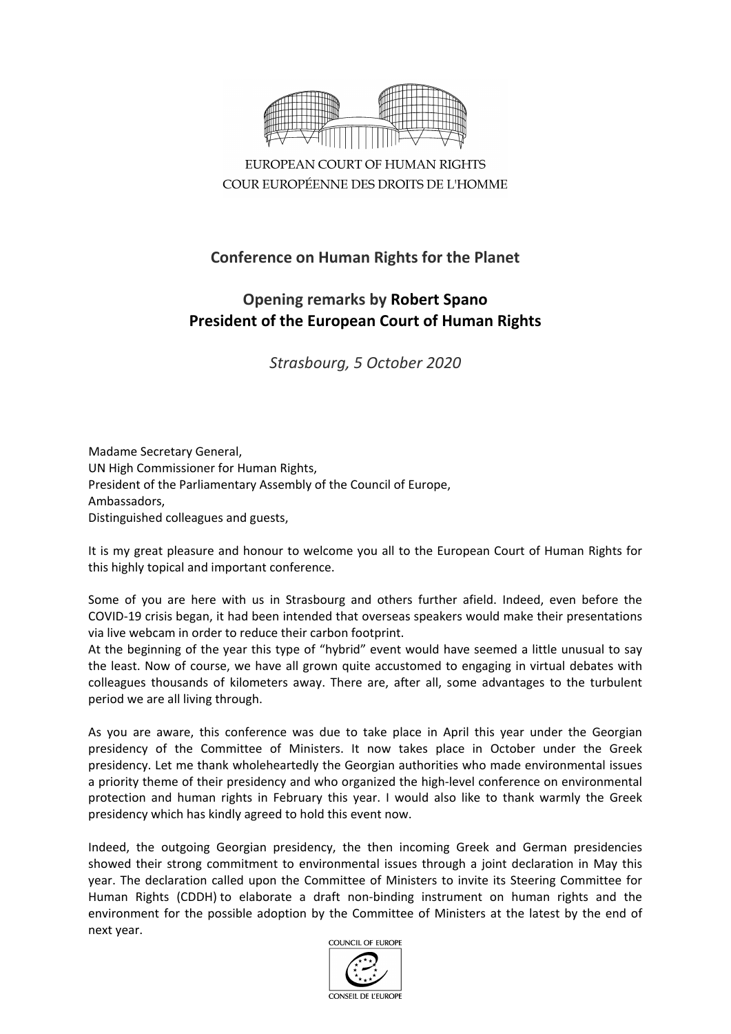

EUROPEAN COURT OF HUMAN RIGHTS COUR EUROPÉENNE DES DROITS DE L'HOMME

## **Conference on Human Rights for the Planet**

## **Opening remarks by Robert Spano President of the European Court of Human Rights**

*Strasbourg, 5 October 2020*

Madame Secretary General, UN High Commissioner for Human Rights, President of the Parliamentary Assembly of the Council of Europe, Ambassadors, Distinguished colleagues and guests,

It is my great pleasure and honour to welcome you all to the European Court of Human Rights for this highly topical and important conference.

Some of you are here with us in Strasbourg and others further afield. Indeed, even before the COVID-19 crisis began, it had been intended that overseas speakers would make their presentations via live webcam in order to reduce their carbon footprint.

At the beginning of the year this type of "hybrid" event would have seemed a little unusual to say the least. Now of course, we have all grown quite accustomed to engaging in virtual debates with colleagues thousands of kilometers away. There are, after all, some advantages to the turbulent period we are all living through.

As you are aware, this conference was due to take place in April this year under the Georgian presidency of the Committee of Ministers. It now takes place in October under the Greek presidency. Let me thank wholeheartedly the Georgian authorities who made environmental issues a priority theme of their presidency and who organized the high-level conference on environmental protection and human rights in February this year. I would also like to thank warmly the Greek presidency which has kindly agreed to hold this event now.

Indeed, the outgoing Georgian presidency, the then incoming Greek and German presidencies showed their strong commitment to environmental issues through a joint declaration in May this year. The declaration called upon the Committee of Ministers to invite its Steering Committee for Human Rights (CDDH) to elaborate a draft non-binding instrument on human rights and the environment for the possible adoption by the Committee of Ministers at the latest by the end of next year.